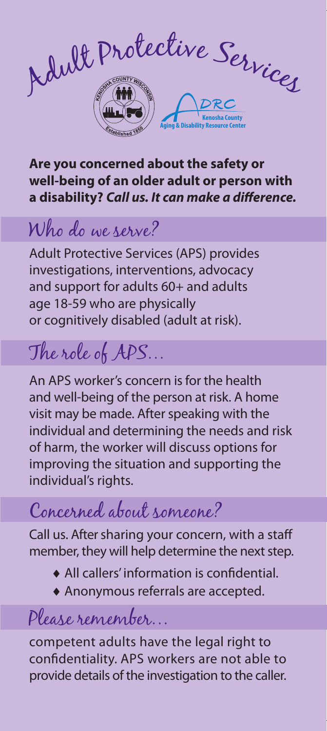

#### **Are you concerned about the safety or well-being of an older adult or person with a disability?** *Call us. It can make a difference.*

### Who do we serve?

Adult Protective Services (APS) provides investigations, interventions, advocacy and support for adults 60+ and adults age 18-59 who are physically or cognitively disabled (adult at risk).

## The role of APS…

An APS worker's concern is for the health and well-being of the person at risk. A home visit may be made. After speaking with the individual and determining the needs and risk of harm, the worker will discuss options for improving the situation and supporting the individual's rights.

## Concerned about someone?

Call us. After sharing your concern, with a staff member, they will help determine the next step.

- ♦ All callers' information is confidential.
- ♦ Anonymous referrals are accepted.

#### Please remember…

competent adults have the legal right to confidentiality. APS workers are not able to provide details of the investigation to the caller.